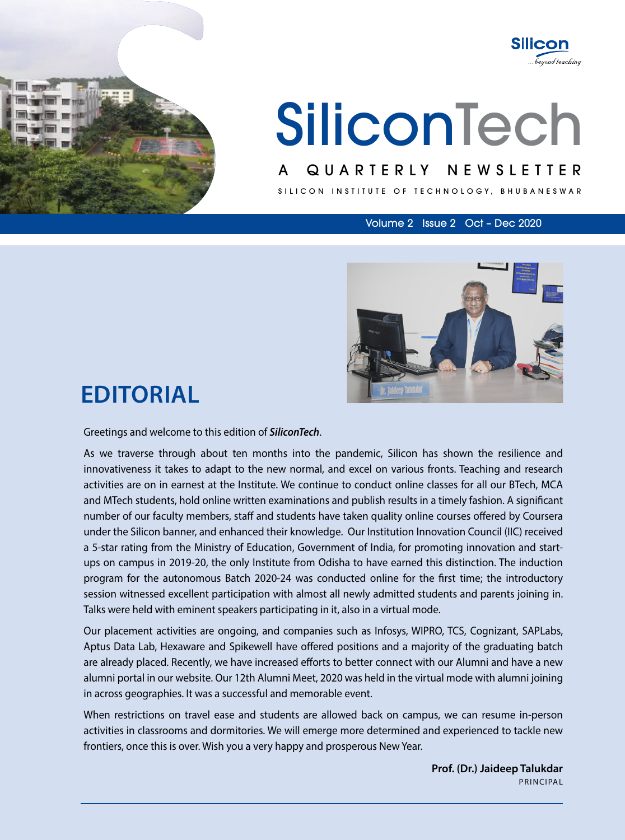

# **SiliconTech**

#### A QUARTERLY NEWSLETTER

SILICON INSTITUTE OF TECHNOLOGY, BHUBANESWAR

Volume 2 Issue 2 Oct – Dec 2020

**Silicon** 

beyond teaching



## **Editorial**

Greetings and welcome to this edition of *SiliconTech*.

As we traverse through about ten months into the pandemic, Silicon has shown the resilience and innovativeness it takes to adapt to the new normal, and excel on various fronts. Teaching and research activities are on in earnest at the Institute. We continue to conduct online classes for all our BTech, MCA and MTech students, hold online written examinations and publish results in a timely fashion. A significant number of our faculty members, staff and students have taken quality online courses offered by Coursera under the Silicon banner, and enhanced their knowledge. Our Institution Innovation Council (IIC) received a 5-star rating from the Ministry of Education, Government of India, for promoting innovation and startups on campus in 2019-20, the only Institute from Odisha to have earned this distinction. The induction program for the autonomous Batch 2020-24 was conducted online for the first time; the introductory session witnessed excellent participation with almost all newly admitted students and parents joining in. Talks were held with eminent speakers participating in it, also in a virtual mode.

Our placement activities are ongoing, and companies such as Infosys, WIPRO, TCS, Cognizant, SAPLabs, Aptus Data Lab, Hexaware and Spikewell have offered positions and a majority of the graduating batch are already placed. Recently, we have increased efforts to better connect with our Alumni and have a new alumni portal in our website. Our 12th Alumni Meet, 2020 was held in the virtual mode with alumni joining in across geographies. It was a successful and memorable event.

When restrictions on travel ease and students are allowed back on campus, we can resume in-person activities in classrooms and dormitories. We will emerge more determined and experienced to tackle new frontiers, once this is over. Wish you a very happy and prosperous New Year.

> **Prof. (Dr.) Jaideep Talukdar** Principal

> > SiliconTech l 1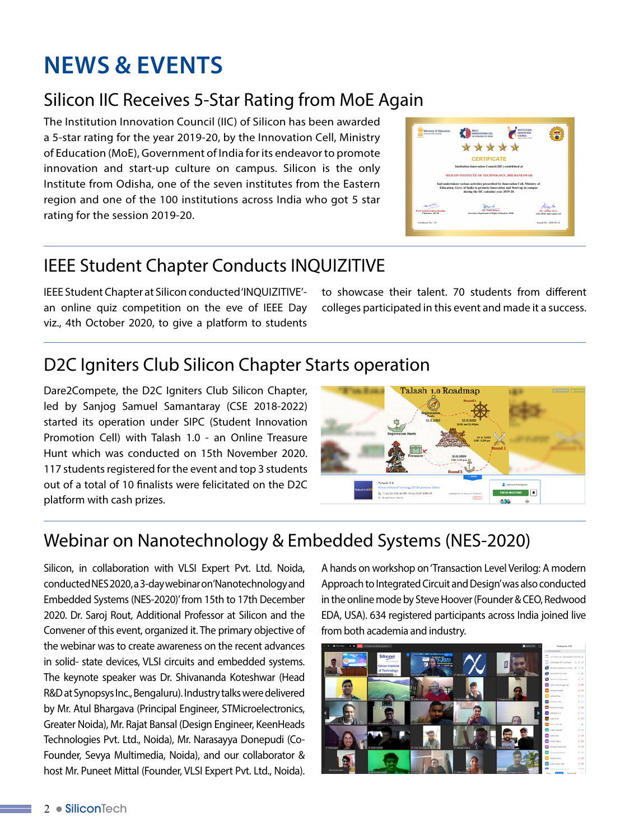# **News & Events**

### Silicon IIC Receives 5-Star Rating from MoE Again

The Institution Innovation Council (IIC) of Silicon has been awarded a 5-star rating for the year 2019-20, by the Innovation Cell, Ministry of Education (MoE), Government of India for its endeavor to promote innovation and start-up culture on campus. Silicon is the only Institute from Odisha, one of the seven institutes from the Eastern region and one of the 100 institutions across India who got 5 star rating for the session 2019-20.

| Ministry of Education<br>increasurated of leader. | MISCOLATICO                                                                                                                                                                                     |                                              |
|---------------------------------------------------|-------------------------------------------------------------------------------------------------------------------------------------------------------------------------------------------------|----------------------------------------------|
|                                                   | *****                                                                                                                                                                                           |                                              |
|                                                   | <b>CERTIFICATE</b>                                                                                                                                                                              |                                              |
|                                                   | Institution Innovation Council (IIC) established at                                                                                                                                             |                                              |
|                                                   | <b>SILICON INSTITUTE OF TECHNOLOGY, BHUBANESWAR</b>                                                                                                                                             |                                              |
|                                                   | had undertaken various activities prescribed by Innovation Cell, Ministry of<br>Education, Govt. of India to promote Innovation and Start-up in campus<br>during the IIC calendar year 2019-20. |                                              |
| <b>THE AIR</b>                                    |                                                                                                                                                                                                 |                                              |
| Peaf Anil D Sabascabadhe<br>Chairman, AICTE       | Sh. Annit Kharo<br>Secretary, Department of Higher Education, MOE                                                                                                                               | Dr. Alders Jane<br>CIO, MOE, Innovation Cell |
| Certificate No.: 34                               |                                                                                                                                                                                                 | Jamed On - 2020-08-22                        |

## IEEE Student Chapter Conducts INQUIZITIVE

IEEE Student Chapter at Silicon conducted 'INQUIZITIVE' an online quiz competition on the eve of IEEE Day viz., 4th October 2020, to give a platform to students to showcase their talent. 70 students from different colleges participated in this event and made it a success.

## D2C Igniters Club Silicon Chapter Starts operation

Dare2Compete, the D2C Igniters Club Silicon Chapter, led by Sanjog Samuel Samantaray (CSE 2018-2022) started its operation under SIPC (Student Innovation Promotion Cell) with Talash 1.0 - an Online Treasure Hunt which was conducted on 15th November 2020. 117 students registered for the event and top 3 students out of a total of 10 finalists were felicitated on the D2C platform with cash prizes.



#### Webinar on Nanotechnology & Embedded Systems (NES-2020)

Silicon, in collaboration with VLSI Expert Pvt. Ltd. Noida, conducted NES 2020, a 3-day webinar on 'Nanotechnology and Embedded Systems (NES-2020)' from 15th to 17th December 2020. Dr. Saroj Rout, Additional Professor at Silicon and the Convener of this event, organized it. The primary objective of the webinar was to create awareness on the recent advances in solid- state devices, VLSI circuits and embedded systems. The keynote speaker was Dr. Shivananda Koteshwar (Head R&D at Synopsys Inc., Bengaluru). Industry talks were delivered by Mr. Atul Bhargava (Principal Engineer, STMicroelectronics, Greater Noida), Mr. Rajat Bansal (Design Engineer, KeenHeads Technologies Pvt. Ltd., Noida), Mr. Narasayya Donepudi (Co-Founder, Sevya Multimedia, Noida), and our collaborator & host Mr. Puneet Mittal (Founder, VLSI Expert Pvt. Ltd., Noida).

A hands on workshop on 'Transaction Level Verilog: A modern Approach to Integrated Circuit and Design' was also conducted in the online mode by Steve Hoover (Founder & CEO, Redwood EDA, USA). 634 registered participants across India joined live from both academia and industry.

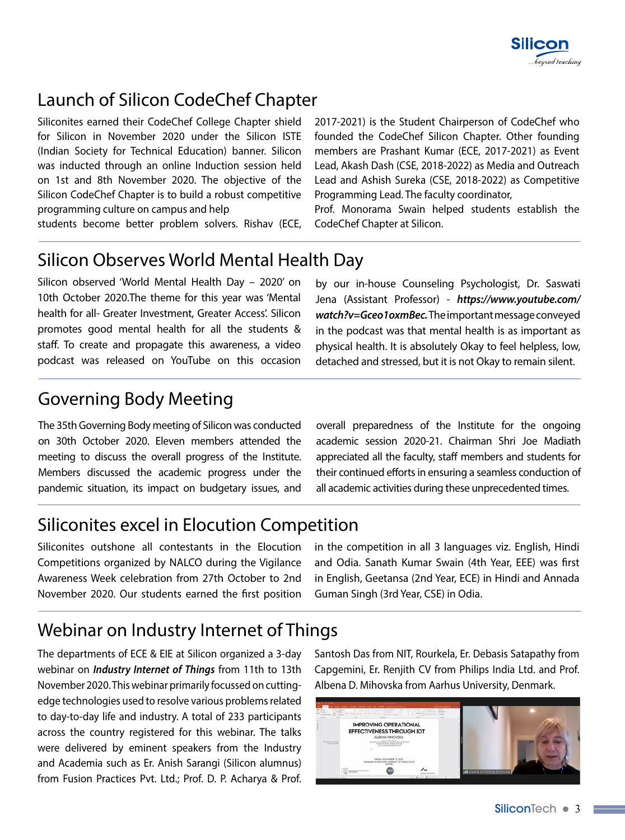

#### Launch of Silicon CodeChef Chapter

Siliconites earned their CodeChef College Chapter shield for Silicon in November 2020 under the Silicon ISTE (Indian Society for Technical Education) banner. Silicon was inducted through an online Induction session held on 1st and 8th November 2020. The objective of the Silicon CodeChef Chapter is to build a robust competitive programming culture on campus and help

students become better problem solvers. Rishav (ECE,

2017-2021) is the Student Chairperson of CodeChef who founded the CodeChef Silicon Chapter. Other founding members are Prashant Kumar (ECE, 2017-2021) as Event Lead, Akash Dash (CSE, 2018-2022) as Media and Outreach Lead and Ashish Sureka (CSE, 2018-2022) as Competitive Programming Lead. The faculty coordinator,

Prof. Monorama Swain helped students establish the CodeChef Chapter at Silicon.

#### Silicon Observes World Mental Health Day

Silicon observed 'World Mental Health Day – 2020' on 10th October 2020.The theme for this year was 'Mental health for all- Greater Investment, Greater Access'. Silicon promotes good mental health for all the students & staff. To create and propagate this awareness, a video podcast was released on YouTube on this occasion

by our in-house Counseling Psychologist, Dr. Saswati Jena (Assistant Professor) - *https://www.youtube.com/ watch?v=Gceo1oxmBec.* The important message conveyed in the podcast was that mental health is as important as physical health. It is absolutely Okay to feel helpless, low, detached and stressed, but it is not Okay to remain silent.

#### Governing Body Meeting

The 35th Governing Body meeting of Silicon was conducted on 30th October 2020. Eleven members attended the meeting to discuss the overall progress of the Institute. Members discussed the academic progress under the pandemic situation, its impact on budgetary issues, and

overall preparedness of the Institute for the ongoing academic session 2020-21. Chairman Shri Joe Madiath appreciated all the faculty, staff members and students for their continued efforts in ensuring a seamless conduction of all academic activities during these unprecedented times.

#### Siliconites excel in Elocution Competition

Siliconites outshone all contestants in the Elocution Competitions organized by NALCO during the Vigilance Awareness Week celebration from 27th October to 2nd November 2020. Our students earned the first position in the competition in all 3 languages viz. English, Hindi and Odia. Sanath Kumar Swain (4th Year, EEE) was first in English, Geetansa (2nd Year, ECE) in Hindi and Annada Guman Singh (3rd Year, CSE) in Odia.

#### Webinar on Industry Internet of Things

The departments of ECE & EIE at Silicon organized a 3-day webinar on *Industry Internet of Things* from 11th to 13th November 2020. This webinar primarily focussed on cuttingedge technologies used to resolve various problems related to day-to-day life and industry. A total of 233 participants across the country registered for this webinar. The talks were delivered by eminent speakers from the Industry and Academia such as Er. Anish Sarangi (Silicon alumnus) from Fusion Practices Pvt. Ltd.; Prof. D. P. Acharya & Prof.

Santosh Das from NIT, Rourkela, Er. Debasis Satapathy from Capgemini, Er. Renjith CV from Philips India Ltd. and Prof. Albena D. Mihovska from Aarhus University, Denmark.

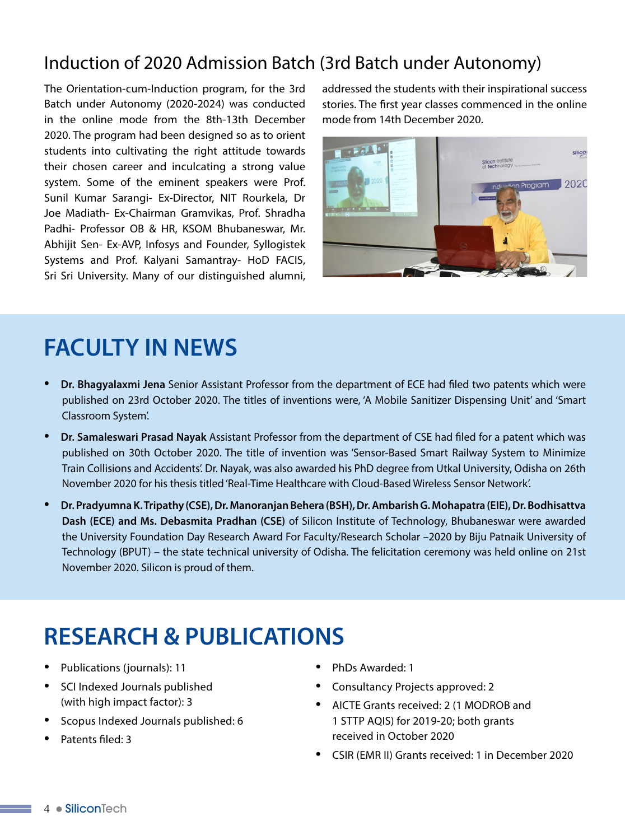#### Induction of 2020 Admission Batch (3rd Batch under Autonomy)

The Orientation-cum-Induction program, for the 3rd Batch under Autonomy (2020-2024) was conducted in the online mode from the 8th-13th December 2020. The program had been designed so as to orient students into cultivating the right attitude towards their chosen career and inculcating a strong value system. Some of the eminent speakers were Prof. Sunil Kumar Sarangi- Ex-Director, NIT Rourkela, Dr Joe Madiath- Ex-Chairman Gramvikas, Prof. Shradha Padhi- Professor OB & HR, KSOM Bhubaneswar, Mr. Abhijit Sen- Ex-AVP, Infosys and Founder, Syllogistek Systems and Prof. Kalyani Samantray- HoD FACIS, Sri Sri University. Many of our distinguished alumni,

addressed the students with their inspirational success stories. The first year classes commenced in the online mode from 14th December 2020.



## **FACULTY IN NEWS**

- **Dr. Bhagyalaxmi Jena** Senior Assistant Professor from the department of ECE had filed two patents which were published on 23rd October 2020. The titles of inventions were, 'A Mobile Sanitizer Dispensing Unit' and 'Smart Classroom System'.
- **Dr. Samaleswari Prasad Nayak** Assistant Professor from the department of CSE had filed for a patent which was published on 30th October 2020. The title of invention was 'Sensor-Based Smart Railway System to Minimize Train Collisions and Accidents'. Dr. Nayak, was also awarded his PhD degree from Utkal University, Odisha on 26th November 2020 for his thesis titled 'Real-Time Healthcare with Cloud-Based Wireless Sensor Network'.
- **Dr. Pradyumna K. Tripathy (CSE), Dr. Manoranjan Behera (BSH), Dr. Ambarish G. Mohapatra (EIE), Dr. Bodhisattva Dash (ECE) and Ms. Debasmita Pradhan (CSE)** of Silicon Institute of Technology, Bhubaneswar were awarded the University Foundation Day Research Award For Faculty/Research Scholar –2020 by Biju Patnaik University of Technology (BPUT) – the state technical university of Odisha. The felicitation ceremony was held online on 21st November 2020. Silicon is proud of them.

## **RESEARCH & PUBLICATIONS**

- Publications (journals): 11
- SCI Indexed Journals published (with high impact factor): 3
- Scopus Indexed Journals published: 6
- Patents filed: 3
- PhDs Awarded: 1
- Consultancy Projects approved: 2
- AICTE Grants received: 2 (1 MODROB and 1 STTP AQIS) for 2019-20; both grants received in October 2020
- CSIR (EMR II) Grants received: 1 in December 2020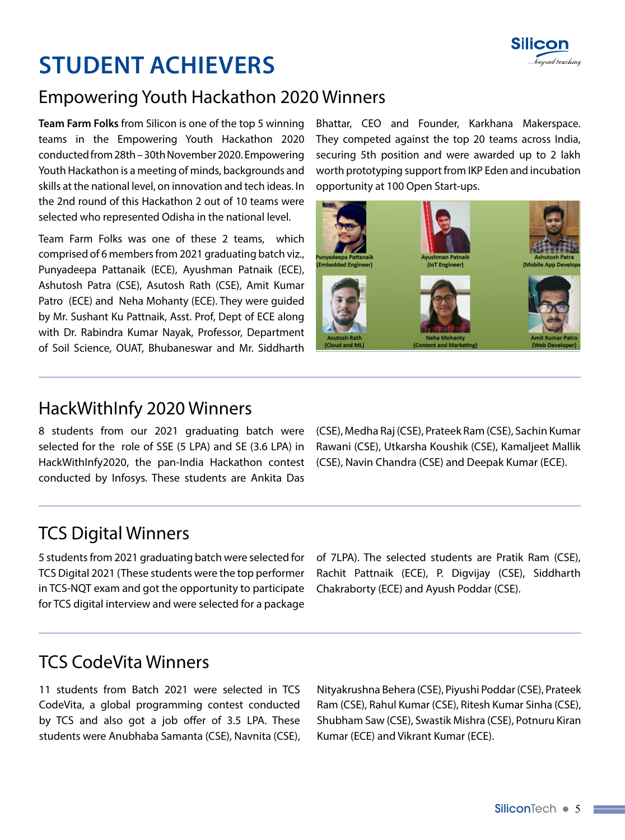

# **STUDENT ACHIEVERS**

#### Empowering Youth Hackathon 2020 Winners

**Team Farm Folks** from Silicon is one of the top 5 winning teams in the Empowering Youth Hackathon 2020 conducted from 28th – 30th November 2020. Empowering Youth Hackathon is a meeting of minds, backgrounds and skills at the national level, on innovation and tech ideas. In the 2nd round of this Hackathon 2 out of 10 teams were selected who represented Odisha in the national level.

Team Farm Folks was one of these 2 teams, which comprised of 6 members from 2021 graduating batch viz., Punyadeepa Pattanaik (ECE), Ayushman Patnaik (ECE), Ashutosh Patra (CSE), Asutosh Rath (CSE), Amit Kumar Patro (ECE) and Neha Mohanty (ECE). They were guided by Mr. Sushant Ku Pattnaik, Asst. Prof, Dept of ECE along with Dr. Rabindra Kumar Nayak, Professor, Department of Soil Science, OUAT, Bhubaneswar and Mr. Siddharth Bhattar, CEO and Founder, Karkhana Makerspace. They competed against the top 20 teams across India, securing 5th position and were awarded up to 2 lakh worth prototyping support from IKP Eden and incubation opportunity at 100 Open Start-ups.



#### HackWithInfy 2020 Winners

8 students from our 2021 graduating batch were selected for the role of SSE (5 LPA) and SE (3.6 LPA) in HackWithInfy2020, the pan-India Hackathon contest conducted by Infosys. These students are Ankita Das

(CSE), Medha Raj (CSE), Prateek Ram (CSE), Sachin Kumar Rawani (CSE), Utkarsha Koushik (CSE), Kamaljeet Mallik (CSE), Navin Chandra (CSE) and Deepak Kumar (ECE).

#### TCS Digital Winners

5 students from 2021 graduating batch were selected for TCS Digital 2021 (These students were the top performer in TCS-NQT exam and got the opportunity to participate for TCS digital interview and were selected for a package

of 7LPA). The selected students are Pratik Ram (CSE), Rachit Pattnaik (ECE), P. Digvijay (CSE), Siddharth Chakraborty (ECE) and Ayush Poddar (CSE).

#### TCS CodeVita Winners

11 students from Batch 2021 were selected in TCS CodeVita, a global programming contest conducted by TCS and also got a job offer of 3.5 LPA. These students were Anubhaba Samanta (CSE), Navnita (CSE), Nityakrushna Behera (CSE), Piyushi Poddar (CSE), Prateek Ram (CSE), Rahul Kumar (CSE), Ritesh Kumar Sinha (CSE), Shubham Saw (CSE), Swastik Mishra (CSE), Potnuru Kiran Kumar (ECE) and Vikrant Kumar (ECE).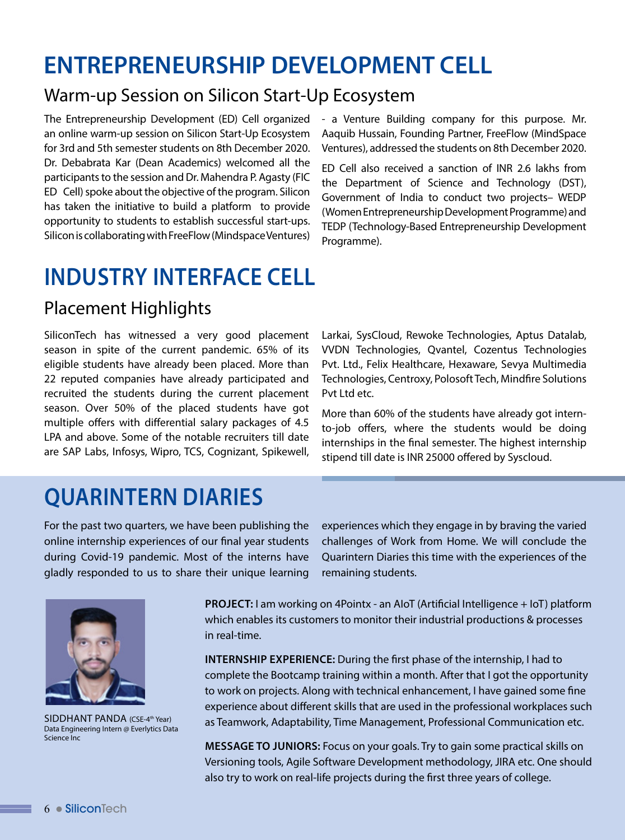## **ENTREPRENEURSHIP DEVELOPMENT CELL**

#### Warm-up Session on Silicon Start-Up Ecosystem

The Entrepreneurship Development (ED) Cell organized an online warm-up session on Silicon Start-Up Ecosystem for 3rd and 5th semester students on 8th December 2020. Dr. Debabrata Kar (Dean Academics) welcomed all the participants to the session and Dr. Mahendra P. Agasty (FIC ED Cell) spoke about the objective of the program. Silicon has taken the initiative to build a platform to provide opportunity to students to establish successful start-ups. Silicon is collaborating with FreeFlow (Mindspace Ventures)

- a Venture Building company for this purpose. Mr. Aaquib Hussain, Founding Partner, FreeFlow (MindSpace Ventures), addressed the students on 8th December 2020.

ED Cell also received a sanction of INR 2.6 lakhs from the Department of Science and Technology (DST), Government of India to conduct two projects– WEDP (Women Entrepreneurship Development Programme) and TEDP (Technology-Based Entrepreneurship Development Programme).

## **INDUSTRY INTERFACE CELL**

#### Placement Highlights

SiliconTech has witnessed a very good placement season in spite of the current pandemic. 65% of its eligible students have already been placed. More than 22 reputed companies have already participated and recruited the students during the current placement season. Over 50% of the placed students have got multiple offers with differential salary packages of 4.5 LPA and above. Some of the notable recruiters till date are SAP Labs, Infosys, Wipro, TCS, Cognizant, Spikewell,

Larkai, SysCloud, Rewoke Technologies, Aptus Datalab, VVDN Technologies, Qvantel, Cozentus Technologies Pvt. Ltd., Felix Healthcare, Hexaware, Sevya Multimedia Technologies, Centroxy, Polosoft Tech, Mindfire Solutions Pvt Ltd etc.

More than 60% of the students have already got internto-job offers, where the students would be doing internships in the final semester. The highest internship stipend till date is INR 25000 offered by Syscloud.

## **QUARINTERN DIARIES**

For the past two quarters, we have been publishing the online internship experiences of our final year students during Covid-19 pandemic. Most of the interns have gladly responded to us to share their unique learning

experiences which they engage in by braving the varied challenges of Work from Home. We will conclude the Quarintern Diaries this time with the experiences of the remaining students.



SIDDHANT PANDA (CSE-4th Year) Data Engineering Intern @ Everlytics Data Science Inc

**Project:** I am working on 4Pointx - an AIoT (Artificial Intelligence + IoT) platform which enables its customers to monitor their industrial productions & processes in real-time.

**Internship Experience:** During the first phase of the internship, I had to complete the Bootcamp training within a month. After that I got the opportunity to work on projects. Along with technical enhancement, I have gained some fine experience about different skills that are used in the professional workplaces such as Teamwork, Adaptability, Time Management, Professional Communication etc.

**Message to Juniors:** Focus on your goals. Try to gain some practical skills on Versioning tools, Agile Software Development methodology, JIRA etc. One should also try to work on real-life projects during the first three years of college.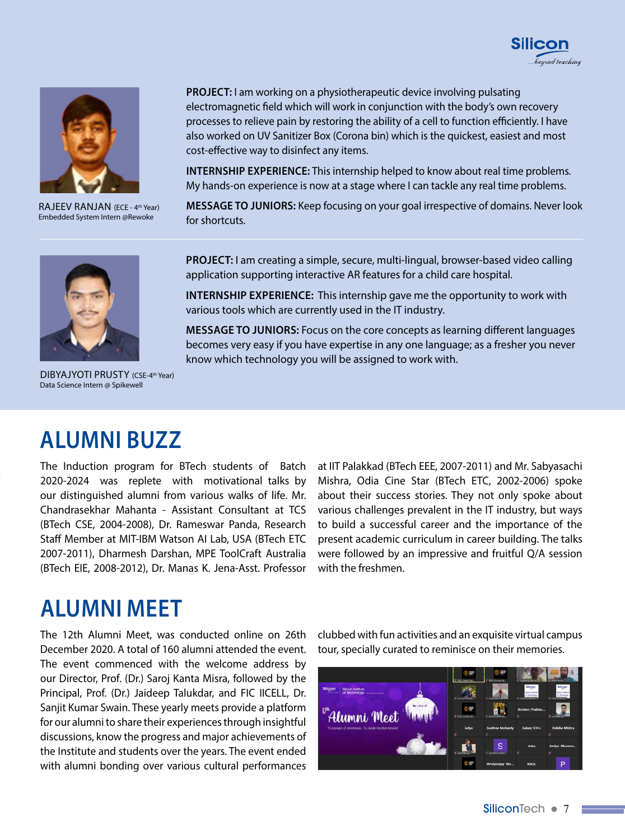



RAJEEV RANJAN (ECE - 4th Year) Embedded System Intern @Rewoke

**PROJECT:** I am working on a physiotherapeutic device involving pulsating electromagnetic field which will work in conjunction with the body's own recovery processes to relieve pain by restoring the ability of a cell to function efficiently. I have also worked on UV Sanitizer Box (Corona bin) which is the quickest, easiest and most cost-effective way to disinfect any items.

**INTERNSHIP EXPERIENCE:** This internship helped to know about real time problems. My hands-on experience is now at a stage where I can tackle any real time problems.

**Message to Juniors:** Keep focusing on your goal irrespective of domains. Never look for shortcuts.

**Project:** I am creating a simple, secure, multi-lingual, browser-based video calling

**INTERNSHIP EXPERIENCE:** This internship gave me the opportunity to work with

application supporting interactive AR features for a child care hospital.



various tools which are currently used in the IT industry.

**Message to Juniors:** Focus on the core concepts as learning different languages becomes very easy if you have expertise in any one language; as a fresher you never know which technology you will be assigned to work with.

DIBYAJYOTI PRUSTY (CSE-4<sup>th</sup> Year) Data Science Intern @ Spikewell

## **ALUMNI BUZZ**

The Induction program for BTech students of Batch 2020-2024 was replete with motivational talks by our distinguished alumni from various walks of life. Mr. Chandrasekhar Mahanta - Assistant Consultant at TCS (BTech CSE, 2004-2008), Dr. Rameswar Panda, Research Staff Member at MIT-IBM Watson AI Lab, USA (BTech ETC 2007-2011), Dharmesh Darshan, MPE ToolCraft Australia (BTech EIE, 2008-2012), Dr. Manas K. Jena-Asst. Professor

at IIT Palakkad (BTech EEE, 2007-2011) and Mr. Sabyasachi Mishra, Odia Cine Star (BTech ETC, 2002-2006) spoke about their success stories. They not only spoke about various challenges prevalent in the IT industry, but ways to build a successful career and the importance of the present academic curriculum in career building. The talks were followed by an impressive and fruitful Q/A session with the freshmen.

## **Alumni Meet**

The 12th Alumni Meet, was conducted online on 26th December 2020. A total of 160 alumni attended the event. The event commenced with the welcome address by our Director, Prof. (Dr.) Saroj Kanta Misra, followed by the Principal, Prof. (Dr.) Jaideep Talukdar, and FIC IICELL, Dr. Sanjit Kumar Swain. These yearly meets provide a platform for our alumni to share their experiences through insightful discussions, know the progress and major achievements of the Institute and students over the years. The event ended with alumni bonding over various cultural performances clubbed with fun activities and an exquisite virtual campus tour, specially curated to reminisce on their memories.